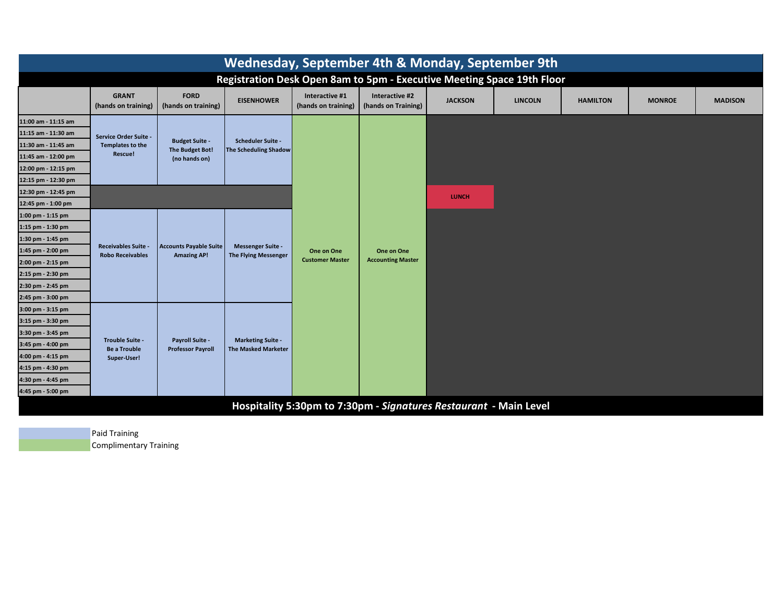| Wednesday, September 4th & Monday, September 9th                       |                                                              |                                                           |                                                          |                                       |                                        |                |                |                 |               |                |
|------------------------------------------------------------------------|--------------------------------------------------------------|-----------------------------------------------------------|----------------------------------------------------------|---------------------------------------|----------------------------------------|----------------|----------------|-----------------|---------------|----------------|
| Registration Desk Open 8am to 5pm - Executive Meeting Space 19th Floor |                                                              |                                                           |                                                          |                                       |                                        |                |                |                 |               |                |
|                                                                        | <b>GRANT</b><br>(hands on training)                          | <b>FORD</b><br>(hands on training)                        | <b>EISENHOWER</b>                                        | Interactive #1<br>(hands on training) | Interactive #2<br>(hands on Training)  | <b>JACKSON</b> | <b>LINCOLN</b> | <b>HAMILTON</b> | <b>MONROE</b> | <b>MADISON</b> |
| 11:00 am - 11:15 am                                                    |                                                              |                                                           | <b>Scheduler Suite -</b><br><b>The Scheduling Shadow</b> |                                       |                                        |                |                |                 |               |                |
| 11:15 am - 11:30 am                                                    | Service Order Suite -                                        | <b>Budget Suite -</b><br>The Budget Bot!<br>(no hands on) |                                                          |                                       |                                        |                |                |                 |               |                |
| 11:30 am - 11:45 am                                                    | <b>Templates to the</b>                                      |                                                           |                                                          |                                       |                                        |                |                |                 |               |                |
| 11:45 am - 12:00 pm                                                    | Rescue!                                                      |                                                           |                                                          |                                       |                                        |                |                |                 |               |                |
| 12:00 pm - 12:15 pm                                                    |                                                              |                                                           |                                                          |                                       |                                        |                |                |                 |               |                |
| 12:15 pm - 12:30 pm                                                    |                                                              |                                                           |                                                          |                                       |                                        |                |                |                 |               |                |
| 12:30 pm - 12:45 pm                                                    |                                                              |                                                           |                                                          |                                       |                                        | <b>LUNCH</b>   |                |                 |               |                |
| 12:45 pm - 1:00 pm                                                     |                                                              |                                                           |                                                          |                                       | One on One<br><b>Accounting Master</b> |                |                |                 |               |                |
| $1:00$ pm - $1:15$ pm                                                  |                                                              | <b>Accounts Payable Suite</b><br><b>Amazing AP!</b>       | <b>Messenger Suite -</b><br><b>The Flying Messenger</b>  | One on One<br><b>Customer Master</b>  |                                        |                |                |                 |               |                |
| 1:15 pm - 1:30 pm                                                      |                                                              |                                                           |                                                          |                                       |                                        |                |                |                 |               |                |
| 1:30 pm - 1:45 pm                                                      | <b>Receivables Suite -</b>                                   |                                                           |                                                          |                                       |                                        |                |                |                 |               |                |
| 1:45 pm - 2:00 pm                                                      | <b>Robo Receivables</b>                                      |                                                           |                                                          |                                       |                                        |                |                |                 |               |                |
| 2:00 pm - 2:15 pm                                                      |                                                              |                                                           |                                                          |                                       |                                        |                |                |                 |               |                |
| 2:15 pm - 2:30 pm                                                      |                                                              |                                                           |                                                          |                                       |                                        |                |                |                 |               |                |
| 2:30 pm - 2:45 pm                                                      |                                                              |                                                           |                                                          |                                       |                                        |                |                |                 |               |                |
| 2:45 pm - 3:00 pm                                                      |                                                              |                                                           |                                                          |                                       |                                        |                |                |                 |               |                |
| 3:00 pm - 3:15 pm                                                      |                                                              |                                                           | <b>Marketing Suite -</b><br><b>The Masked Marketer</b>   |                                       |                                        |                |                |                 |               |                |
| 3:15 pm - 3:30 pm<br>3:30 pm - 3:45 pm                                 | <b>Trouble Suite -</b><br><b>Be a Trouble</b><br>Super-User! |                                                           |                                                          |                                       |                                        |                |                |                 |               |                |
| 3:45 pm - 4:00 pm                                                      |                                                              | <b>Payroll Suite -</b>                                    |                                                          |                                       |                                        |                |                |                 |               |                |
| 4:00 pm - 4:15 pm                                                      |                                                              | <b>Professor Payroll</b>                                  |                                                          |                                       |                                        |                |                |                 |               |                |
| 4:15 pm - 4:30 pm                                                      |                                                              |                                                           |                                                          |                                       |                                        |                |                |                 |               |                |
| 4:30 pm - 4:45 pm                                                      |                                                              |                                                           |                                                          |                                       |                                        |                |                |                 |               |                |
| 4:45 pm - 5:00 pm                                                      |                                                              |                                                           |                                                          |                                       |                                        |                |                |                 |               |                |
|                                                                        |                                                              |                                                           |                                                          |                                       |                                        |                |                |                 |               |                |
| Hospitality 5:30pm to 7:30pm - Signatures Restaurant - Main Level      |                                                              |                                                           |                                                          |                                       |                                        |                |                |                 |               |                |

Paid Training Complimentary Training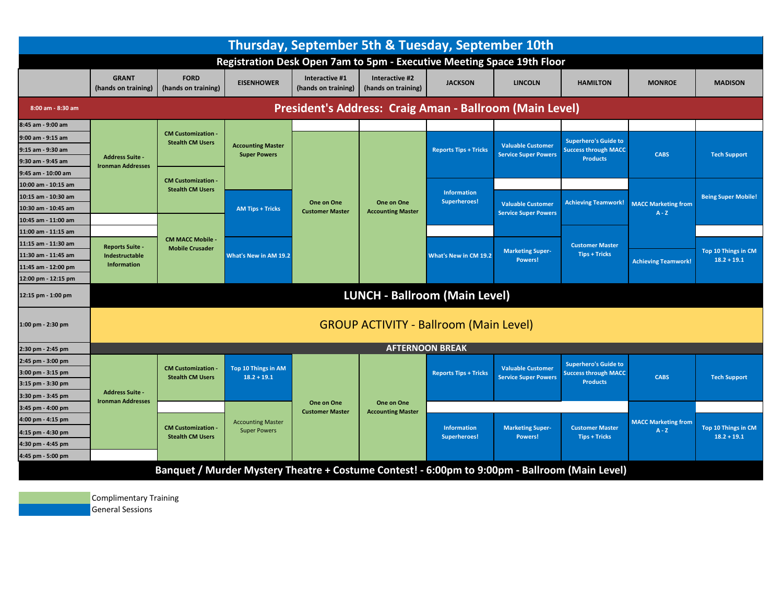| Thursday, September 5th & Tuesday, September 10th                            |                                                    |                                                      |                                                                                                |                                       |                                        |                                      |                                                         |                                                                               |                                       |                                      |
|------------------------------------------------------------------------------|----------------------------------------------------|------------------------------------------------------|------------------------------------------------------------------------------------------------|---------------------------------------|----------------------------------------|--------------------------------------|---------------------------------------------------------|-------------------------------------------------------------------------------|---------------------------------------|--------------------------------------|
| Registration Desk Open 7am to 5pm - Executive Meeting Space 19th Floor       |                                                    |                                                      |                                                                                                |                                       |                                        |                                      |                                                         |                                                                               |                                       |                                      |
|                                                                              | <b>GRANT</b><br>(hands on training)                | <b>FORD</b><br>(hands on training)                   | <b>EISENHOWER</b>                                                                              | Interactive #1<br>(hands on training) | Interactive #2<br>(hands on training)  | <b>JACKSON</b>                       | <b>LINCOLN</b>                                          | <b>HAMILTON</b>                                                               | <b>MONROE</b>                         | <b>MADISON</b>                       |
| President's Address: Craig Aman - Ballroom (Main Level)<br>8:00 am - 8:30 am |                                                    |                                                      |                                                                                                |                                       |                                        |                                      |                                                         |                                                                               |                                       |                                      |
| 8:45 am - 9:00 am                                                            |                                                    |                                                      |                                                                                                |                                       |                                        |                                      |                                                         |                                                                               |                                       |                                      |
| 9:00 am - 9:15 am                                                            |                                                    | <b>CM Customization -</b><br><b>Stealth CM Users</b> | <b>Accounting Master</b><br><b>Super Powers</b>                                                | One on One<br><b>Customer Master</b>  | One on One<br><b>Accounting Master</b> | <b>Reports Tips + Tricks</b>         | <b>Valuable Customer</b><br><b>Service Super Powers</b> | <b>Superhero's Guide to</b><br><b>Success through MACC</b><br><b>Products</b> | <b>CABS</b>                           | <b>Tech Support</b>                  |
| 9:15 am - 9:30 am                                                            |                                                    |                                                      |                                                                                                |                                       |                                        |                                      |                                                         |                                                                               |                                       |                                      |
| 9:30 am - 9:45 am                                                            | <b>Address Suite -</b><br><b>Ironman Addresses</b> |                                                      |                                                                                                |                                       |                                        |                                      |                                                         |                                                                               |                                       |                                      |
| 9:45 am - 10:00 am                                                           |                                                    |                                                      |                                                                                                |                                       |                                        |                                      |                                                         |                                                                               |                                       |                                      |
| 10:00 am - 10:15 am                                                          |                                                    | <b>CM Customization -</b><br><b>Stealth CM Users</b> |                                                                                                |                                       |                                        | <b>Information</b><br>Superheroes!   |                                                         |                                                                               |                                       |                                      |
| 10:15 am - 10:30 am                                                          |                                                    |                                                      | <b>AM Tips + Tricks</b><br>What's New in AM 19.2                                               |                                       |                                        |                                      | <b>Valuable Customer</b><br><b>Service Super Powers</b> | <b>Achieving Teamwork!</b>                                                    | <b>MACC Marketing from</b>            | <b>Being Super Mobile!</b>           |
| 10:30 am - 10:45 am                                                          |                                                    |                                                      |                                                                                                |                                       |                                        |                                      |                                                         |                                                                               | $A - Z$                               |                                      |
| 10:45 am - 11:00 am                                                          |                                                    |                                                      |                                                                                                |                                       |                                        |                                      |                                                         |                                                                               |                                       |                                      |
| 11:00 am - 11:15 am<br>11:15 am - 11:30 am                                   |                                                    | <b>CM MACC Mobile -</b><br><b>Mobile Crusader</b>    |                                                                                                |                                       |                                        | What's New in CM 19.2                | <b>Marketing Super-</b><br>Powers!                      | <b>Customer Master</b><br><b>Tips + Tricks</b>                                |                                       |                                      |
| 11:30 am - 11:45 am                                                          | <b>Reports Suite -</b>                             |                                                      |                                                                                                |                                       |                                        |                                      |                                                         |                                                                               |                                       | Top 10 Things in CM                  |
| 11:45 am - 12:00 pm                                                          | Indestructable<br><b>Information</b>               |                                                      |                                                                                                |                                       |                                        |                                      |                                                         |                                                                               | <b>Achieving Teamwork!</b>            | $18.2 + 19.1$                        |
| 12:00 pm - 12:15 pm                                                          |                                                    |                                                      |                                                                                                |                                       |                                        |                                      |                                                         |                                                                               |                                       |                                      |
|                                                                              |                                                    |                                                      |                                                                                                |                                       |                                        |                                      |                                                         |                                                                               |                                       |                                      |
| 12:15 pm - 1:00 pm                                                           |                                                    |                                                      |                                                                                                |                                       |                                        | <b>LUNCH - Ballroom (Main Level)</b> |                                                         |                                                                               |                                       |                                      |
| <b>GROUP ACTIVITY - Ballroom (Main Level)</b><br>1:00 pm - 2:30 pm           |                                                    |                                                      |                                                                                                |                                       |                                        |                                      |                                                         |                                                                               |                                       |                                      |
| 2:30 pm - 2:45 pm                                                            |                                                    |                                                      |                                                                                                |                                       |                                        | <b>AFTERNOON BREAK</b>               |                                                         |                                                                               |                                       |                                      |
| 2:45 pm - 3:00 pm                                                            |                                                    | <b>CM Customization</b>                              | Top 10 Things in AM                                                                            |                                       |                                        |                                      | <b>Valuable Customer</b>                                | <b>Superhero's Guide to</b>                                                   |                                       |                                      |
| 3:00 pm - 3:15 pm                                                            | <b>Address Suite -</b><br><b>Ironman Addresses</b> | <b>Stealth CM Users</b>                              | $18.2 + 19.1$                                                                                  |                                       |                                        | <b>Reports Tips + Tricks</b>         | <b>Service Super Powers</b>                             | <b>Success through MACC</b><br><b>Products</b>                                | <b>CABS</b>                           | <b>Tech Support</b>                  |
| 3:15 pm - 3:30 pm                                                            |                                                    |                                                      |                                                                                                |                                       |                                        |                                      |                                                         |                                                                               |                                       |                                      |
| 3:30 pm - 3:45 pm                                                            |                                                    |                                                      |                                                                                                | One on One                            | One on One                             |                                      |                                                         |                                                                               |                                       |                                      |
| 3:45 pm - 4:00 pm                                                            |                                                    | <b>CM Customization -</b><br><b>Stealth CM Users</b> | <b>Accounting Master</b><br><b>Super Powers</b>                                                | <b>Customer Master</b>                | <b>Accounting Master</b>               |                                      |                                                         |                                                                               |                                       |                                      |
| 4:00 pm - 4:15 pm                                                            |                                                    |                                                      |                                                                                                |                                       |                                        | <b>Information</b><br>Superheroes!   | <b>Marketing Super-</b><br>Powers!                      | <b>Customer Master</b><br><b>Tips + Tricks</b>                                | <b>MACC Marketing from</b><br>$A - Z$ | Top 10 Things in CM<br>$18.2 + 19.1$ |
| 4:15 pm - 4:30 pm                                                            |                                                    |                                                      |                                                                                                |                                       |                                        |                                      |                                                         |                                                                               |                                       |                                      |
| 4:30 pm - 4:45 pm                                                            |                                                    |                                                      |                                                                                                |                                       |                                        |                                      |                                                         |                                                                               |                                       |                                      |
| 4:45 pm - 5:00 pm                                                            |                                                    |                                                      |                                                                                                |                                       |                                        |                                      |                                                         |                                                                               |                                       |                                      |
|                                                                              |                                                    |                                                      | Banquet / Murder Mystery Theatre + Costume Contest! - 6:00pm to 9:00pm - Ballroom (Main Level) |                                       |                                        |                                      |                                                         |                                                                               |                                       |                                      |

General Sessions Complimentary Training